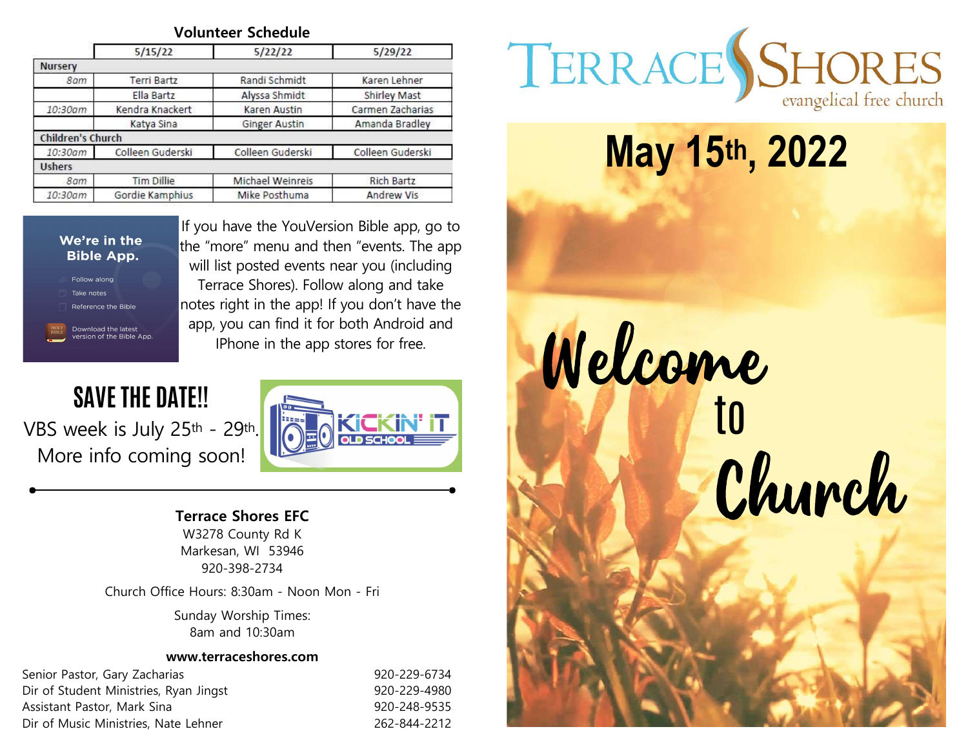|                          | 5/15/22           | 5/22/22              | 5/29/22           |
|--------------------------|-------------------|----------------------|-------------------|
| <b>Nursery</b>           |                   |                      |                   |
| 8am                      | Terri Bartz       | Randi Schmidt        | Karen Lehner      |
|                          | Ella Bartz        | Alyssa Shmidt        | Shirley Mast      |
| 10:30am                  | Kendra Knackert   | Karen Austin         | Carmen Zacharias  |
|                          | Katya Sina        | <b>Ginger Austin</b> | Amanda Bradley    |
| <b>Children's Church</b> |                   |                      |                   |
| 10:30am                  | Colleen Guderski  | Colleen Guderski     | Colleen Guderski  |
| <b>Ushers</b>            |                   |                      |                   |
| 8am                      | <b>Tim Dillie</b> | Michael Weinreis     | Rich Bartz        |
| 10:30am                  | Gordie Kamphius   | Mike Posthuma        | <b>Andrew Vis</b> |



If you have the YouVersion Bible app, go to the "more" menu and then "events. The app will list posted events near you (including Terrace Shores). Follow along and take notes right in the app! If you don't have the IPhone in the app stores for free.

VBS week is July 25<sup>th</sup> - 29<sup>th</sup>.<br>More info coming soon!



## Terrace Shores EFC

W3278 County Rd K Markesan, WI 53946 920-398-2734

Church Office Hours: 8:30am - Noon Mon - Fri

Sunday Worship Times: 8am and 10:30am

#### www.terraceshores.com

Senior Pastor, Gary Zacharias 6. 1992 1998 1998 1998 1999-229-6734 Dir of Student Ministries, Ryan Jingst 920-229-4980 Assistant Pastor, Mark Sina 920-248-9535 Dir of Music Ministries, Nate Lehner 262-844-2212



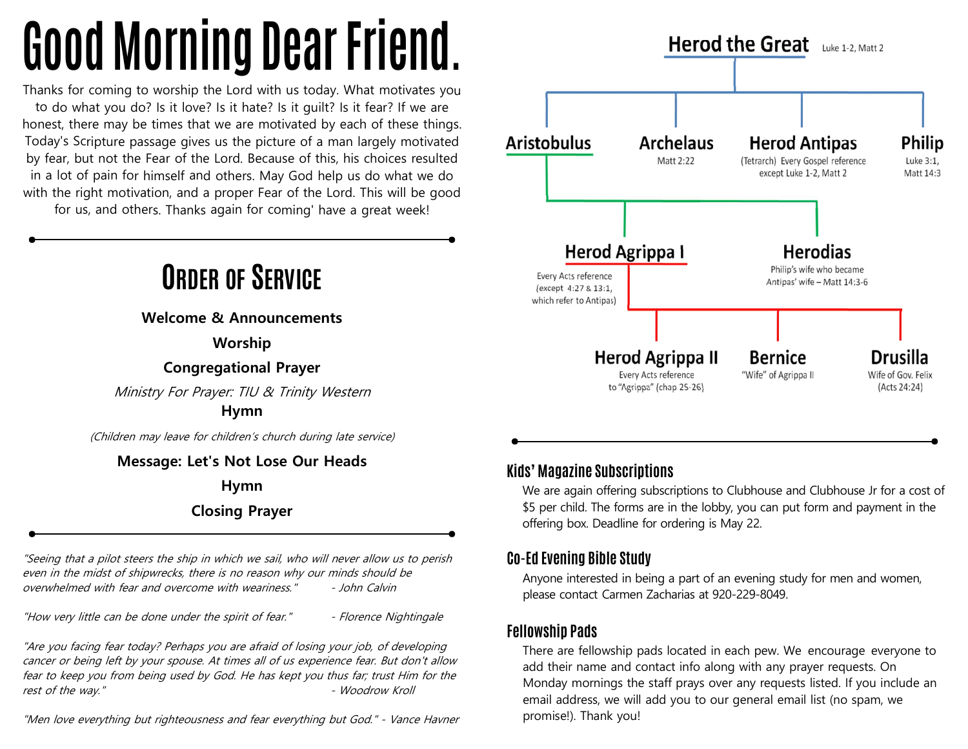# Good Morning Dear Friend.

Thanks for coming to worship the Lord with us today. What motivates you to do what you do? Is it love? Is it hate? Is it guilt? Is it fear? If we are honest, there may be times that we are motivated by each of these things. Today's Scripture passage gives us the picture of a man largely motivated **Aristobulus** Archelaus by fear, but not the Fear of the Lord. Because of this, his choices resulted Mattle 222 in <sup>a</sup> lot of pain for himself and others. May God help us do what we do with the right motivation, and <sup>a</sup> proper Fear of the Lord. This will be good for us, and others. Thanks again for coming' have <sup>a</sup> great week!

ORDER OF SERVICE

Welcome & Announcements

Worship

Congregational Prayer

Ministry For Prayer: TIU & Trinity Western

Hymn

(Children may leave for children's church during late service)

#### Message: Let's Not Lose Our Heads

Hymn

Closing Prayer

"Seeing that a pilot steers the ship in which we sail, who will never allow us to perish even in the midst of shipwrecks, there is no reason why our minds should be overwhelmed with fear and overcome with weariness." - John Calvin

"How very little can be done under the spirit of fear." - Florence Nightingale

"Are you facing fear today? Perhaps you are afraid of losing your job, of developing cancer or being left by your spouse. At times all of us experience fear. But don't allow fear to keep you from being used by God. He has kept you thus far; trust Him for the rest of the way." The contract of the way."

"Men love everything but righteousness and fear everything but God." - Vance Havner



#### Kids' Magazine Subscriptions

We are again offering subscriptions to Clubhouse and Clubhouse Jr for a cost of \$5 per child. The forms are in the lobby, you can put form and payment in the offering box. Deadline for ordering is May 22.

#### Co-Ed Evening Bible Study

Anyone interested in being a part of an evening study for men and women, please contact Carmen Zacharias at 920-229-8049.

#### Fellowship Pads

There are fellowship pads located in each pew. We encourage everyone to add their name and contact info along with any prayer requests. On Monday mornings the staff prays over any requests listed. If you include an email address, we will add you to our general email list (no spam, we promise!). Thank you!